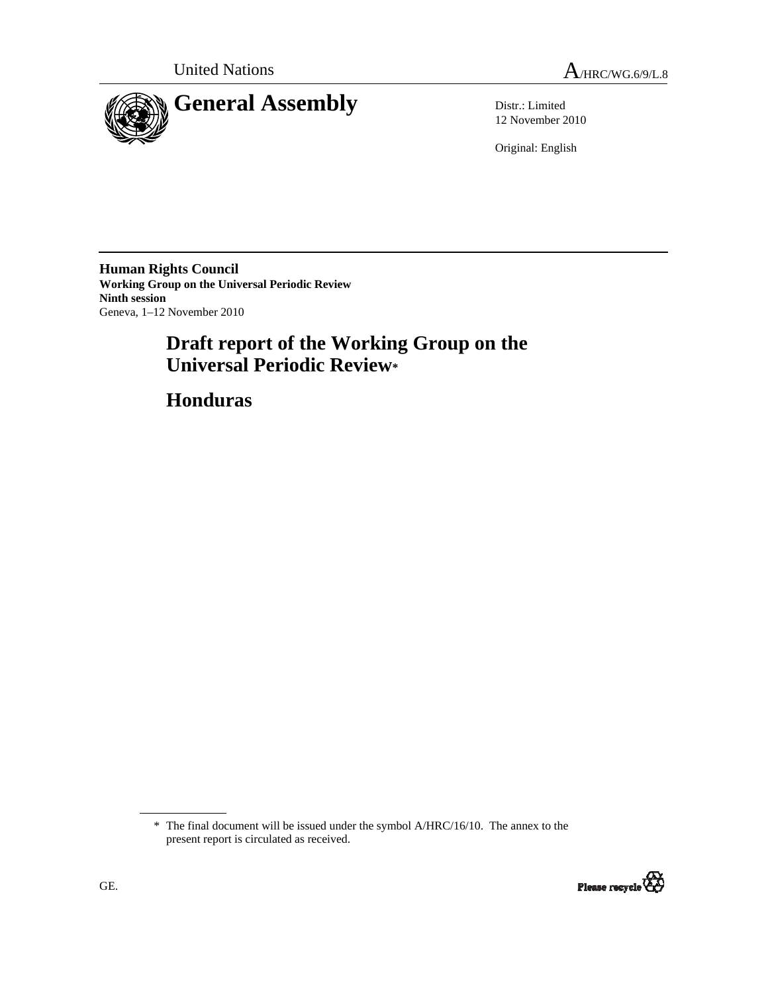United Nations  $A_{HRC/WG.6/9/L.8}$ 



12 November 2010

Original: English

**Human Rights Council Working Group on the Universal Periodic Review Ninth session**  Geneva, 1–12 November 2010

# **Draft report of the Working Group on the Universal Periodic Review\***

 **Honduras** 

<sup>\*</sup> The final document will be issued under the symbol A/HRC/16/10. The annex to the present report is circulated as received.

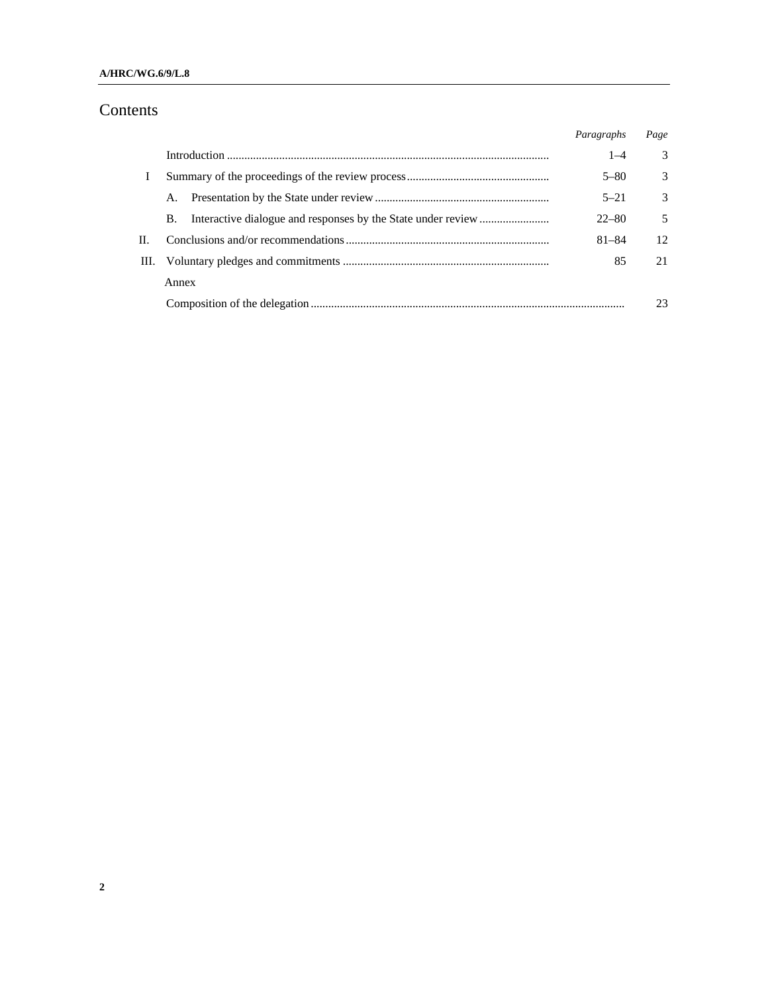#### **A/HRC/WG.6/9/L.8**

## Contents

|    |    |       | Paragraphs | Page          |
|----|----|-------|------------|---------------|
|    |    |       | $1 - 4$    | $\mathcal{E}$ |
|    |    |       | $5 - 80$   | 3             |
|    |    | А.    | $5 - 21$   | $\mathcal{R}$ |
|    |    | B.    | $22 - 80$  | 5             |
| П. |    |       | $81 - 84$  | 12            |
|    | Ш. |       | 85         | 21            |
|    |    | Annex |            |               |
|    |    |       |            | 23            |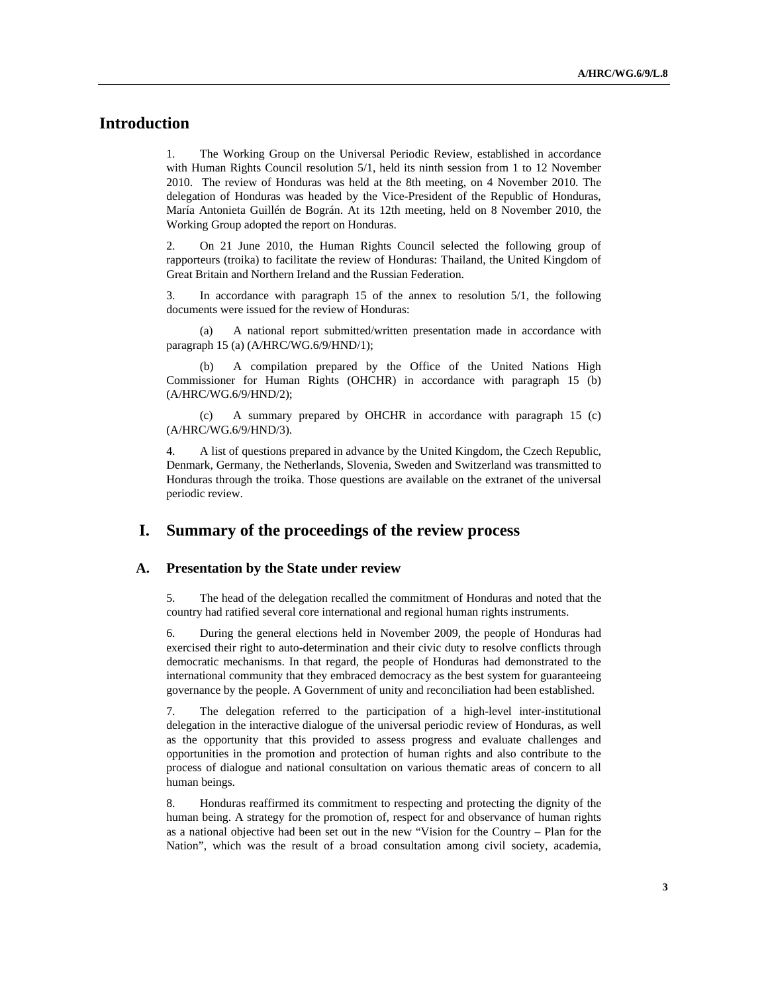## **Introduction**

1. The Working Group on the Universal Periodic Review, established in accordance with Human Rights Council resolution 5/1, held its ninth session from 1 to 12 November 2010. The review of Honduras was held at the 8th meeting, on 4 November 2010. The delegation of Honduras was headed by the Vice-President of the Republic of Honduras, María Antonieta Guillén de Bográn. At its 12th meeting, held on 8 November 2010, the Working Group adopted the report on Honduras.

2. On 21 June 2010, the Human Rights Council selected the following group of rapporteurs (troika) to facilitate the review of Honduras: Thailand, the United Kingdom of Great Britain and Northern Ireland and the Russian Federation.

3. In accordance with paragraph 15 of the annex to resolution 5/1, the following documents were issued for the review of Honduras:

 (a) A national report submitted/written presentation made in accordance with paragraph 15 (a) (A/HRC/WG.6/9/HND/1);

A compilation prepared by the Office of the United Nations High Commissioner for Human Rights (OHCHR) in accordance with paragraph 15 (b) (A/HRC/WG.6/9/HND/2);

 (c) A summary prepared by OHCHR in accordance with paragraph 15 (c) (A/HRC/WG.6/9/HND/3).

4. A list of questions prepared in advance by the United Kingdom, the Czech Republic, Denmark, Germany, the Netherlands, Slovenia, Sweden and Switzerland was transmitted to Honduras through the troika. Those questions are available on the extranet of the universal periodic review.

### **I. Summary of the proceedings of the review process**

#### **A. Presentation by the State under review**

5. The head of the delegation recalled the commitment of Honduras and noted that the country had ratified several core international and regional human rights instruments.

6. During the general elections held in November 2009, the people of Honduras had exercised their right to auto-determination and their civic duty to resolve conflicts through democratic mechanisms. In that regard, the people of Honduras had demonstrated to the international community that they embraced democracy as the best system for guaranteeing governance by the people. A Government of unity and reconciliation had been established.

7. The delegation referred to the participation of a high-level inter-institutional delegation in the interactive dialogue of the universal periodic review of Honduras, as well as the opportunity that this provided to assess progress and evaluate challenges and opportunities in the promotion and protection of human rights and also contribute to the process of dialogue and national consultation on various thematic areas of concern to all human beings.

8. Honduras reaffirmed its commitment to respecting and protecting the dignity of the human being. A strategy for the promotion of, respect for and observance of human rights as a national objective had been set out in the new "Vision for the Country – Plan for the Nation", which was the result of a broad consultation among civil society, academia,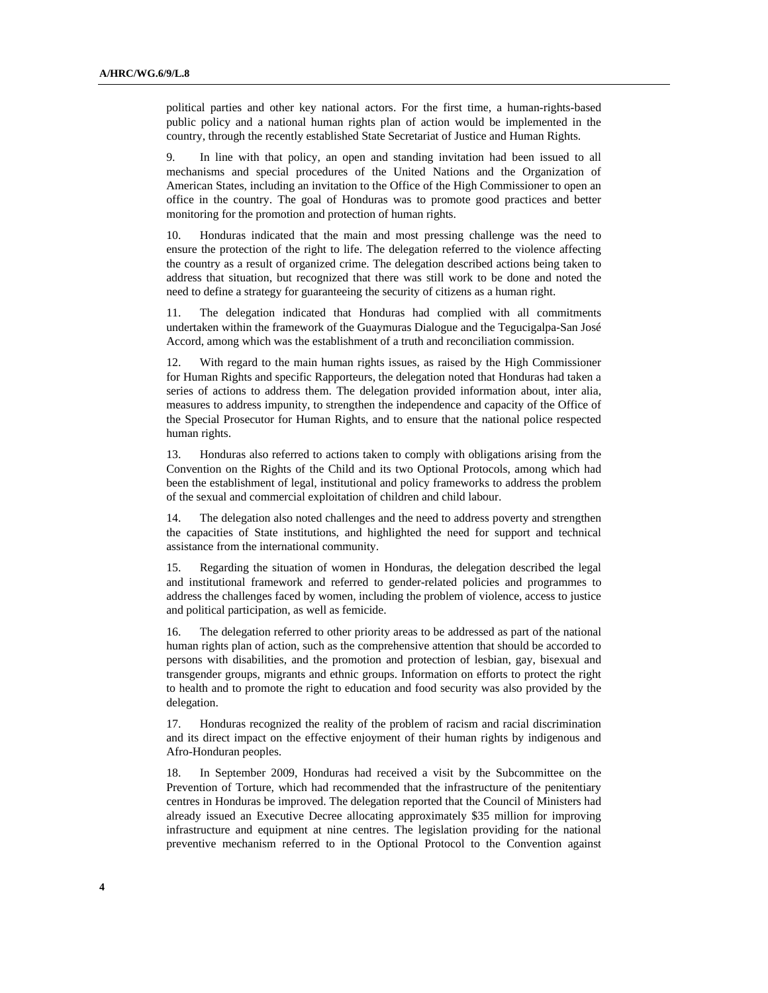political parties and other key national actors. For the first time, a human-rights-based public policy and a national human rights plan of action would be implemented in the country, through the recently established State Secretariat of Justice and Human Rights.

9. In line with that policy, an open and standing invitation had been issued to all mechanisms and special procedures of the United Nations and the Organization of American States, including an invitation to the Office of the High Commissioner to open an office in the country. The goal of Honduras was to promote good practices and better monitoring for the promotion and protection of human rights.

10. Honduras indicated that the main and most pressing challenge was the need to ensure the protection of the right to life. The delegation referred to the violence affecting the country as a result of organized crime. The delegation described actions being taken to address that situation, but recognized that there was still work to be done and noted the need to define a strategy for guaranteeing the security of citizens as a human right.

11. The delegation indicated that Honduras had complied with all commitments undertaken within the framework of the Guaymuras Dialogue and the Tegucigalpa-San José Accord, among which was the establishment of a truth and reconciliation commission.

12. With regard to the main human rights issues, as raised by the High Commissioner for Human Rights and specific Rapporteurs, the delegation noted that Honduras had taken a series of actions to address them. The delegation provided information about, inter alia, measures to address impunity, to strengthen the independence and capacity of the Office of the Special Prosecutor for Human Rights, and to ensure that the national police respected human rights.

13. Honduras also referred to actions taken to comply with obligations arising from the Convention on the Rights of the Child and its two Optional Protocols, among which had been the establishment of legal, institutional and policy frameworks to address the problem of the sexual and commercial exploitation of children and child labour.

14. The delegation also noted challenges and the need to address poverty and strengthen the capacities of State institutions, and highlighted the need for support and technical assistance from the international community.

15. Regarding the situation of women in Honduras, the delegation described the legal and institutional framework and referred to gender-related policies and programmes to address the challenges faced by women, including the problem of violence, access to justice and political participation, as well as femicide.

16. The delegation referred to other priority areas to be addressed as part of the national human rights plan of action, such as the comprehensive attention that should be accorded to persons with disabilities, and the promotion and protection of lesbian, gay, bisexual and transgender groups, migrants and ethnic groups. Information on efforts to protect the right to health and to promote the right to education and food security was also provided by the delegation.

17. Honduras recognized the reality of the problem of racism and racial discrimination and its direct impact on the effective enjoyment of their human rights by indigenous and Afro-Honduran peoples.

18. In September 2009, Honduras had received a visit by the Subcommittee on the Prevention of Torture, which had recommended that the infrastructure of the penitentiary centres in Honduras be improved. The delegation reported that the Council of Ministers had already issued an Executive Decree allocating approximately \$35 million for improving infrastructure and equipment at nine centres. The legislation providing for the national preventive mechanism referred to in the Optional Protocol to the Convention against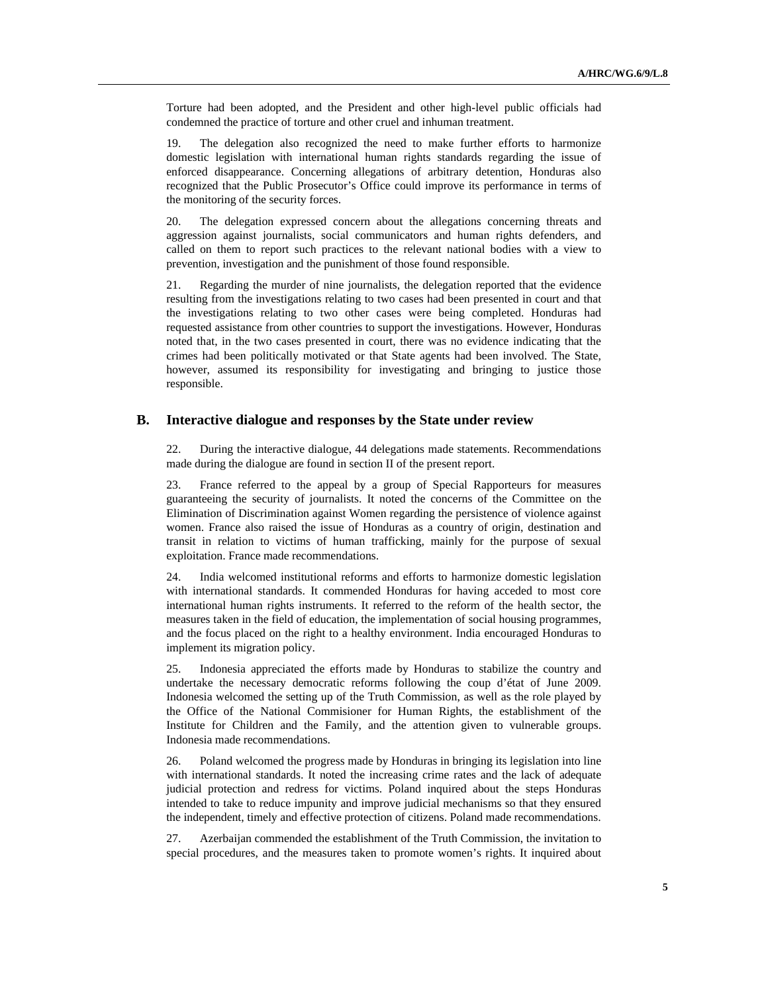Torture had been adopted, and the President and other high-level public officials had condemned the practice of torture and other cruel and inhuman treatment.

19. The delegation also recognized the need to make further efforts to harmonize domestic legislation with international human rights standards regarding the issue of enforced disappearance. Concerning allegations of arbitrary detention, Honduras also recognized that the Public Prosecutor's Office could improve its performance in terms of the monitoring of the security forces.

20. The delegation expressed concern about the allegations concerning threats and aggression against journalists, social communicators and human rights defenders, and called on them to report such practices to the relevant national bodies with a view to prevention, investigation and the punishment of those found responsible.

21. Regarding the murder of nine journalists, the delegation reported that the evidence resulting from the investigations relating to two cases had been presented in court and that the investigations relating to two other cases were being completed. Honduras had requested assistance from other countries to support the investigations. However, Honduras noted that, in the two cases presented in court, there was no evidence indicating that the crimes had been politically motivated or that State agents had been involved. The State, however, assumed its responsibility for investigating and bringing to justice those responsible.

#### **B. Interactive dialogue and responses by the State under review**

22. During the interactive dialogue, 44 delegations made statements. Recommendations made during the dialogue are found in section II of the present report.

23. France referred to the appeal by a group of Special Rapporteurs for measures guaranteeing the security of journalists. It noted the concerns of the Committee on the Elimination of Discrimination against Women regarding the persistence of violence against women. France also raised the issue of Honduras as a country of origin, destination and transit in relation to victims of human trafficking, mainly for the purpose of sexual exploitation. France made recommendations.

24. India welcomed institutional reforms and efforts to harmonize domestic legislation with international standards. It commended Honduras for having acceded to most core international human rights instruments. It referred to the reform of the health sector, the measures taken in the field of education, the implementation of social housing programmes, and the focus placed on the right to a healthy environment. India encouraged Honduras to implement its migration policy.

25. Indonesia appreciated the efforts made by Honduras to stabilize the country and undertake the necessary democratic reforms following the coup d'état of June 2009. Indonesia welcomed the setting up of the Truth Commission, as well as the role played by the Office of the National Commisioner for Human Rights, the establishment of the Institute for Children and the Family, and the attention given to vulnerable groups. Indonesia made recommendations.

26. Poland welcomed the progress made by Honduras in bringing its legislation into line with international standards. It noted the increasing crime rates and the lack of adequate judicial protection and redress for victims. Poland inquired about the steps Honduras intended to take to reduce impunity and improve judicial mechanisms so that they ensured the independent, timely and effective protection of citizens. Poland made recommendations.

27. Azerbaijan commended the establishment of the Truth Commission, the invitation to special procedures, and the measures taken to promote women's rights. It inquired about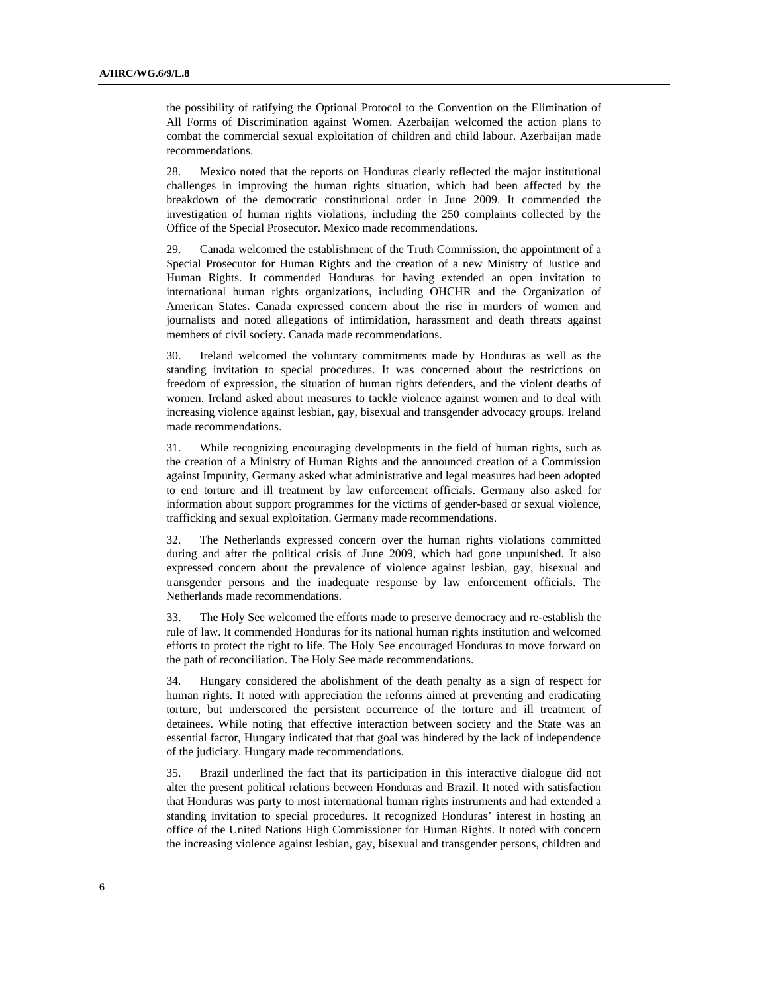the possibility of ratifying the Optional Protocol to the Convention on the Elimination of All Forms of Discrimination against Women. Azerbaijan welcomed the action plans to combat the commercial sexual exploitation of children and child labour. Azerbaijan made recommendations.

28. Mexico noted that the reports on Honduras clearly reflected the major institutional challenges in improving the human rights situation, which had been affected by the breakdown of the democratic constitutional order in June 2009. It commended the investigation of human rights violations, including the 250 complaints collected by the Office of the Special Prosecutor. Mexico made recommendations.

29. Canada welcomed the establishment of the Truth Commission, the appointment of a Special Prosecutor for Human Rights and the creation of a new Ministry of Justice and Human Rights. It commended Honduras for having extended an open invitation to international human rights organizations, including OHCHR and the Organization of American States. Canada expressed concern about the rise in murders of women and journalists and noted allegations of intimidation, harassment and death threats against members of civil society. Canada made recommendations.

30. Ireland welcomed the voluntary commitments made by Honduras as well as the standing invitation to special procedures. It was concerned about the restrictions on freedom of expression, the situation of human rights defenders, and the violent deaths of women. Ireland asked about measures to tackle violence against women and to deal with increasing violence against lesbian, gay, bisexual and transgender advocacy groups. Ireland made recommendations.

31. While recognizing encouraging developments in the field of human rights, such as the creation of a Ministry of Human Rights and the announced creation of a Commission against Impunity, Germany asked what administrative and legal measures had been adopted to end torture and ill treatment by law enforcement officials. Germany also asked for information about support programmes for the victims of gender-based or sexual violence, trafficking and sexual exploitation. Germany made recommendations.

32. The Netherlands expressed concern over the human rights violations committed during and after the political crisis of June 2009, which had gone unpunished. It also expressed concern about the prevalence of violence against lesbian, gay, bisexual and transgender persons and the inadequate response by law enforcement officials. The Netherlands made recommendations.

33. The Holy See welcomed the efforts made to preserve democracy and re-establish the rule of law. It commended Honduras for its national human rights institution and welcomed efforts to protect the right to life. The Holy See encouraged Honduras to move forward on the path of reconciliation. The Holy See made recommendations.

34. Hungary considered the abolishment of the death penalty as a sign of respect for human rights. It noted with appreciation the reforms aimed at preventing and eradicating torture, but underscored the persistent occurrence of the torture and ill treatment of detainees. While noting that effective interaction between society and the State was an essential factor, Hungary indicated that that goal was hindered by the lack of independence of the judiciary. Hungary made recommendations.

35. Brazil underlined the fact that its participation in this interactive dialogue did not alter the present political relations between Honduras and Brazil. It noted with satisfaction that Honduras was party to most international human rights instruments and had extended a standing invitation to special procedures. It recognized Honduras' interest in hosting an office of the United Nations High Commissioner for Human Rights. It noted with concern the increasing violence against lesbian, gay, bisexual and transgender persons, children and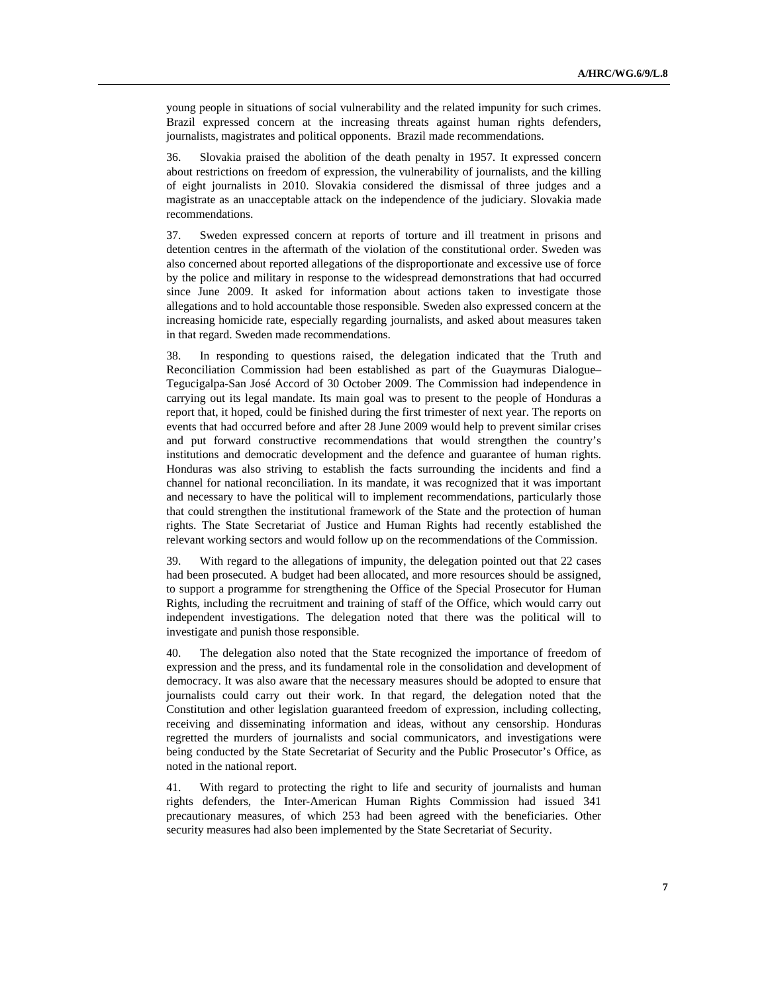young people in situations of social vulnerability and the related impunity for such crimes. Brazil expressed concern at the increasing threats against human rights defenders, journalists, magistrates and political opponents. Brazil made recommendations.

36. Slovakia praised the abolition of the death penalty in 1957. It expressed concern about restrictions on freedom of expression, the vulnerability of journalists, and the killing of eight journalists in 2010. Slovakia considered the dismissal of three judges and a magistrate as an unacceptable attack on the independence of the judiciary. Slovakia made recommendations.

37. Sweden expressed concern at reports of torture and ill treatment in prisons and detention centres in the aftermath of the violation of the constitutional order. Sweden was also concerned about reported allegations of the disproportionate and excessive use of force by the police and military in response to the widespread demonstrations that had occurred since June 2009. It asked for information about actions taken to investigate those allegations and to hold accountable those responsible. Sweden also expressed concern at the increasing homicide rate, especially regarding journalists, and asked about measures taken in that regard. Sweden made recommendations.

38. In responding to questions raised, the delegation indicated that the Truth and Reconciliation Commission had been established as part of the Guaymuras Dialogue– Tegucigalpa-San José Accord of 30 October 2009. The Commission had independence in carrying out its legal mandate. Its main goal was to present to the people of Honduras a report that, it hoped, could be finished during the first trimester of next year. The reports on events that had occurred before and after 28 June 2009 would help to prevent similar crises and put forward constructive recommendations that would strengthen the country's institutions and democratic development and the defence and guarantee of human rights. Honduras was also striving to establish the facts surrounding the incidents and find a channel for national reconciliation. In its mandate, it was recognized that it was important and necessary to have the political will to implement recommendations, particularly those that could strengthen the institutional framework of the State and the protection of human rights. The State Secretariat of Justice and Human Rights had recently established the relevant working sectors and would follow up on the recommendations of the Commission.

39. With regard to the allegations of impunity, the delegation pointed out that 22 cases had been prosecuted. A budget had been allocated, and more resources should be assigned, to support a programme for strengthening the Office of the Special Prosecutor for Human Rights, including the recruitment and training of staff of the Office, which would carry out independent investigations. The delegation noted that there was the political will to investigate and punish those responsible.

The delegation also noted that the State recognized the importance of freedom of expression and the press, and its fundamental role in the consolidation and development of democracy. It was also aware that the necessary measures should be adopted to ensure that journalists could carry out their work. In that regard, the delegation noted that the Constitution and other legislation guaranteed freedom of expression, including collecting, receiving and disseminating information and ideas, without any censorship. Honduras regretted the murders of journalists and social communicators, and investigations were being conducted by the State Secretariat of Security and the Public Prosecutor's Office, as noted in the national report.

41. With regard to protecting the right to life and security of journalists and human rights defenders, the Inter-American Human Rights Commission had issued 341 precautionary measures, of which 253 had been agreed with the beneficiaries. Other security measures had also been implemented by the State Secretariat of Security.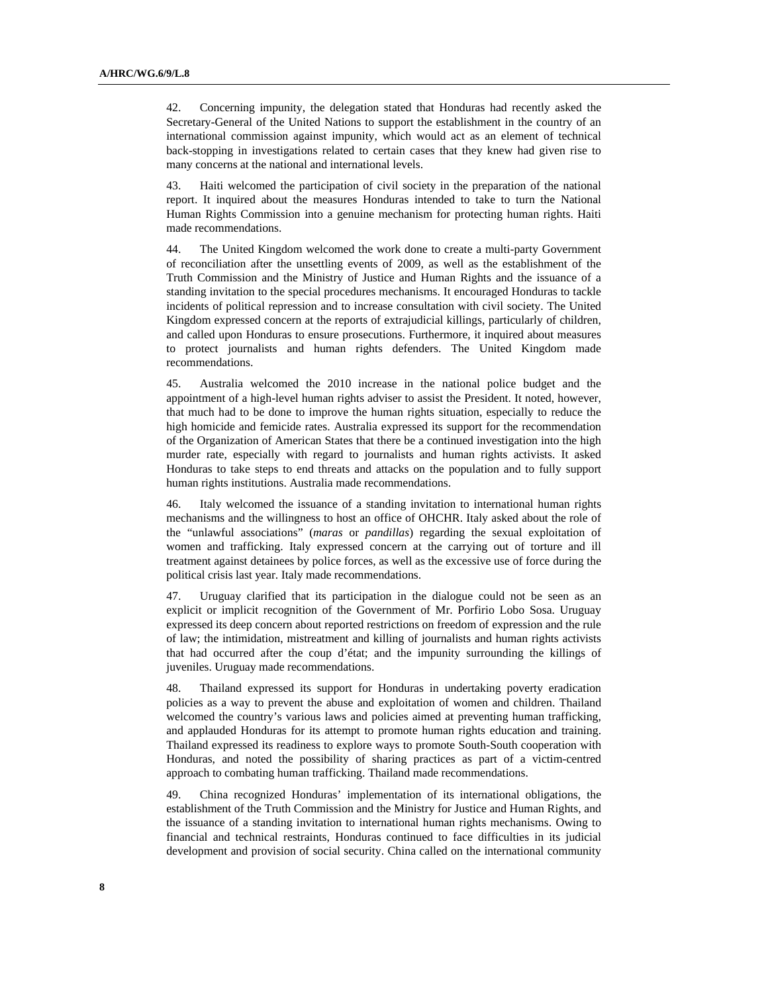42. Concerning impunity, the delegation stated that Honduras had recently asked the Secretary-General of the United Nations to support the establishment in the country of an international commission against impunity, which would act as an element of technical back-stopping in investigations related to certain cases that they knew had given rise to many concerns at the national and international levels.

43. Haiti welcomed the participation of civil society in the preparation of the national report. It inquired about the measures Honduras intended to take to turn the National Human Rights Commission into a genuine mechanism for protecting human rights. Haiti made recommendations.

44. The United Kingdom welcomed the work done to create a multi-party Government of reconciliation after the unsettling events of 2009, as well as the establishment of the Truth Commission and the Ministry of Justice and Human Rights and the issuance of a standing invitation to the special procedures mechanisms. It encouraged Honduras to tackle incidents of political repression and to increase consultation with civil society. The United Kingdom expressed concern at the reports of extrajudicial killings, particularly of children, and called upon Honduras to ensure prosecutions. Furthermore, it inquired about measures to protect journalists and human rights defenders. The United Kingdom made recommendations.

45. Australia welcomed the 2010 increase in the national police budget and the appointment of a high-level human rights adviser to assist the President. It noted, however, that much had to be done to improve the human rights situation, especially to reduce the high homicide and femicide rates. Australia expressed its support for the recommendation of the Organization of American States that there be a continued investigation into the high murder rate, especially with regard to journalists and human rights activists. It asked Honduras to take steps to end threats and attacks on the population and to fully support human rights institutions. Australia made recommendations.

46. Italy welcomed the issuance of a standing invitation to international human rights mechanisms and the willingness to host an office of OHCHR. Italy asked about the role of the "unlawful associations" (*maras* or *pandillas*) regarding the sexual exploitation of women and trafficking. Italy expressed concern at the carrying out of torture and ill treatment against detainees by police forces, as well as the excessive use of force during the political crisis last year. Italy made recommendations.

Uruguay clarified that its participation in the dialogue could not be seen as an explicit or implicit recognition of the Government of Mr. Porfirio Lobo Sosa. Uruguay expressed its deep concern about reported restrictions on freedom of expression and the rule of law; the intimidation, mistreatment and killing of journalists and human rights activists that had occurred after the coup d'état; and the impunity surrounding the killings of juveniles. Uruguay made recommendations.

Thailand expressed its support for Honduras in undertaking poverty eradication policies as a way to prevent the abuse and exploitation of women and children. Thailand welcomed the country's various laws and policies aimed at preventing human trafficking, and applauded Honduras for its attempt to promote human rights education and training. Thailand expressed its readiness to explore ways to promote South-South cooperation with Honduras, and noted the possibility of sharing practices as part of a victim-centred approach to combating human trafficking. Thailand made recommendations.

49. China recognized Honduras' implementation of its international obligations, the establishment of the Truth Commission and the Ministry for Justice and Human Rights, and the issuance of a standing invitation to international human rights mechanisms. Owing to financial and technical restraints, Honduras continued to face difficulties in its judicial development and provision of social security. China called on the international community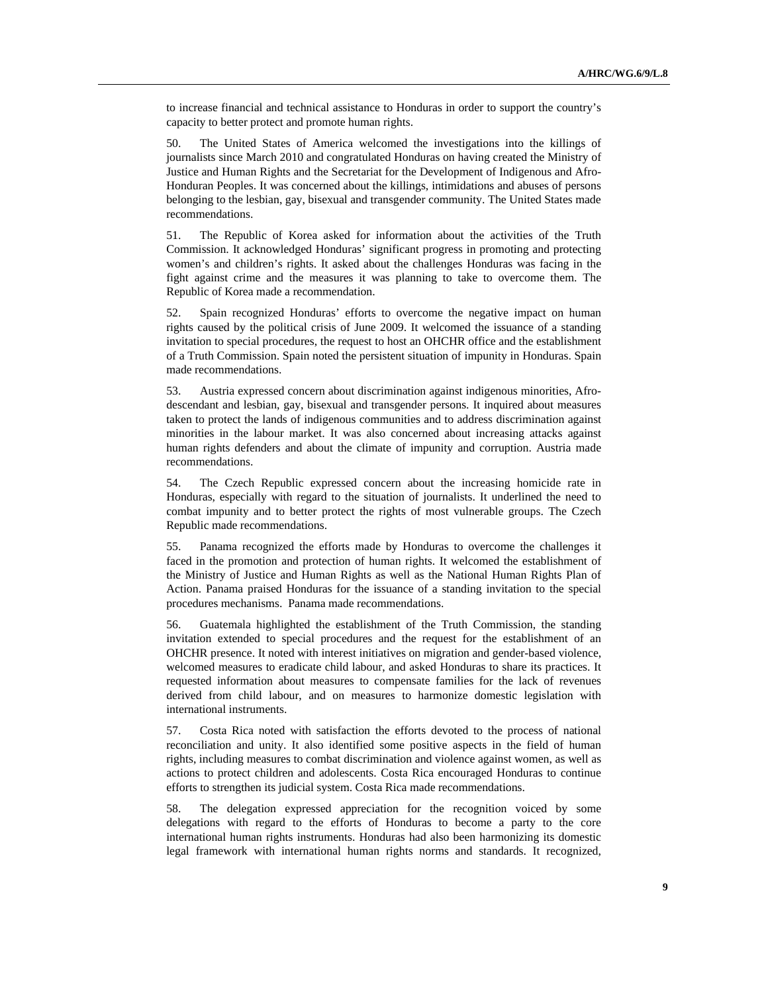to increase financial and technical assistance to Honduras in order to support the country's capacity to better protect and promote human rights.

50. The United States of America welcomed the investigations into the killings of journalists since March 2010 and congratulated Honduras on having created the Ministry of Justice and Human Rights and the Secretariat for the Development of Indigenous and Afro-Honduran Peoples. It was concerned about the killings, intimidations and abuses of persons belonging to the lesbian, gay, bisexual and transgender community. The United States made recommendations.

51. The Republic of Korea asked for information about the activities of the Truth Commission. It acknowledged Honduras' significant progress in promoting and protecting women's and children's rights. It asked about the challenges Honduras was facing in the fight against crime and the measures it was planning to take to overcome them. The Republic of Korea made a recommendation.

52. Spain recognized Honduras' efforts to overcome the negative impact on human rights caused by the political crisis of June 2009. It welcomed the issuance of a standing invitation to special procedures, the request to host an OHCHR office and the establishment of a Truth Commission. Spain noted the persistent situation of impunity in Honduras. Spain made recommendations.

53. Austria expressed concern about discrimination against indigenous minorities, Afrodescendant and lesbian, gay, bisexual and transgender persons. It inquired about measures taken to protect the lands of indigenous communities and to address discrimination against minorities in the labour market. It was also concerned about increasing attacks against human rights defenders and about the climate of impunity and corruption. Austria made recommendations.

54. The Czech Republic expressed concern about the increasing homicide rate in Honduras, especially with regard to the situation of journalists. It underlined the need to combat impunity and to better protect the rights of most vulnerable groups. The Czech Republic made recommendations.

55. Panama recognized the efforts made by Honduras to overcome the challenges it faced in the promotion and protection of human rights. It welcomed the establishment of the Ministry of Justice and Human Rights as well as the National Human Rights Plan of Action. Panama praised Honduras for the issuance of a standing invitation to the special procedures mechanisms. Panama made recommendations.

56. Guatemala highlighted the establishment of the Truth Commission, the standing invitation extended to special procedures and the request for the establishment of an OHCHR presence. It noted with interest initiatives on migration and gender-based violence, welcomed measures to eradicate child labour, and asked Honduras to share its practices. It requested information about measures to compensate families for the lack of revenues derived from child labour, and on measures to harmonize domestic legislation with international instruments.

57. Costa Rica noted with satisfaction the efforts devoted to the process of national reconciliation and unity. It also identified some positive aspects in the field of human rights, including measures to combat discrimination and violence against women, as well as actions to protect children and adolescents. Costa Rica encouraged Honduras to continue efforts to strengthen its judicial system. Costa Rica made recommendations.

58. The delegation expressed appreciation for the recognition voiced by some delegations with regard to the efforts of Honduras to become a party to the core international human rights instruments. Honduras had also been harmonizing its domestic legal framework with international human rights norms and standards. It recognized,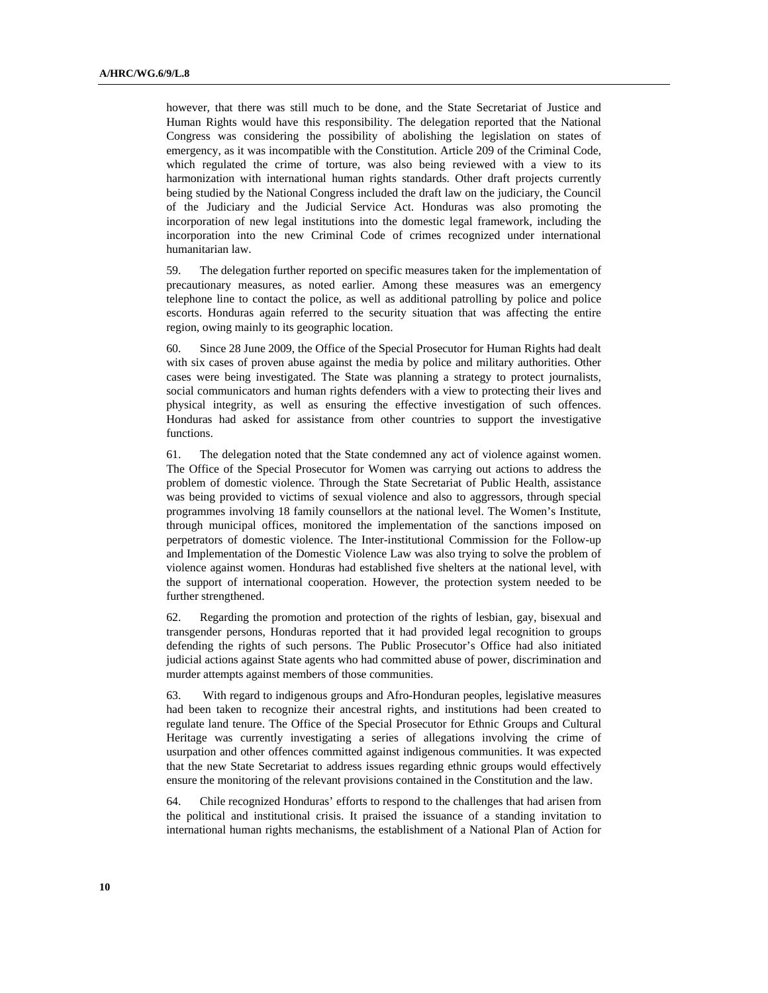however, that there was still much to be done, and the State Secretariat of Justice and Human Rights would have this responsibility. The delegation reported that the National Congress was considering the possibility of abolishing the legislation on states of emergency, as it was incompatible with the Constitution. Article 209 of the Criminal Code, which regulated the crime of torture, was also being reviewed with a view to its harmonization with international human rights standards. Other draft projects currently being studied by the National Congress included the draft law on the judiciary, the Council of the Judiciary and the Judicial Service Act. Honduras was also promoting the incorporation of new legal institutions into the domestic legal framework, including the incorporation into the new Criminal Code of crimes recognized under international humanitarian law.

59. The delegation further reported on specific measures taken for the implementation of precautionary measures, as noted earlier. Among these measures was an emergency telephone line to contact the police, as well as additional patrolling by police and police escorts. Honduras again referred to the security situation that was affecting the entire region, owing mainly to its geographic location.

60. Since 28 June 2009, the Office of the Special Prosecutor for Human Rights had dealt with six cases of proven abuse against the media by police and military authorities. Other cases were being investigated. The State was planning a strategy to protect journalists, social communicators and human rights defenders with a view to protecting their lives and physical integrity, as well as ensuring the effective investigation of such offences. Honduras had asked for assistance from other countries to support the investigative functions.

61. The delegation noted that the State condemned any act of violence against women. The Office of the Special Prosecutor for Women was carrying out actions to address the problem of domestic violence. Through the State Secretariat of Public Health, assistance was being provided to victims of sexual violence and also to aggressors, through special programmes involving 18 family counsellors at the national level. The Women's Institute, through municipal offices, monitored the implementation of the sanctions imposed on perpetrators of domestic violence. The Inter-institutional Commission for the Follow-up and Implementation of the Domestic Violence Law was also trying to solve the problem of violence against women. Honduras had established five shelters at the national level, with the support of international cooperation. However, the protection system needed to be further strengthened.

62. Regarding the promotion and protection of the rights of lesbian, gay, bisexual and transgender persons, Honduras reported that it had provided legal recognition to groups defending the rights of such persons. The Public Prosecutor's Office had also initiated judicial actions against State agents who had committed abuse of power, discrimination and murder attempts against members of those communities.

63. With regard to indigenous groups and Afro-Honduran peoples, legislative measures had been taken to recognize their ancestral rights, and institutions had been created to regulate land tenure. The Office of the Special Prosecutor for Ethnic Groups and Cultural Heritage was currently investigating a series of allegations involving the crime of usurpation and other offences committed against indigenous communities. It was expected that the new State Secretariat to address issues regarding ethnic groups would effectively ensure the monitoring of the relevant provisions contained in the Constitution and the law.

64. Chile recognized Honduras' efforts to respond to the challenges that had arisen from the political and institutional crisis. It praised the issuance of a standing invitation to international human rights mechanisms, the establishment of a National Plan of Action for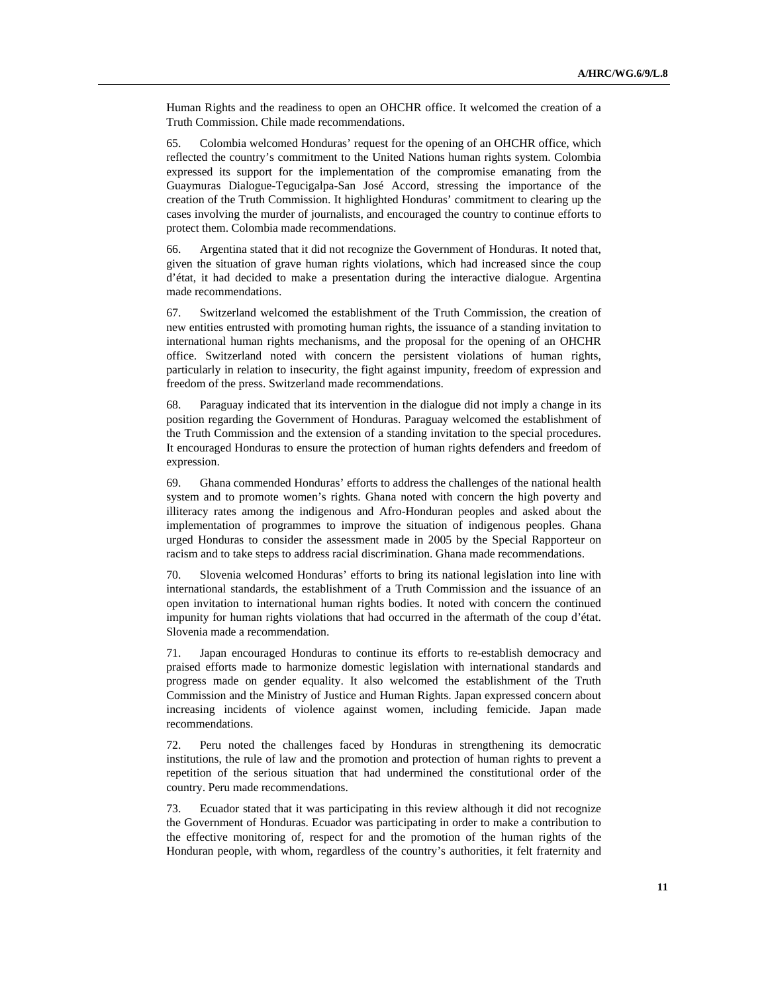Human Rights and the readiness to open an OHCHR office. It welcomed the creation of a Truth Commission. Chile made recommendations.

65. Colombia welcomed Honduras' request for the opening of an OHCHR office, which reflected the country's commitment to the United Nations human rights system. Colombia expressed its support for the implementation of the compromise emanating from the Guaymuras Dialogue-Tegucigalpa-San José Accord, stressing the importance of the creation of the Truth Commission. It highlighted Honduras' commitment to clearing up the cases involving the murder of journalists, and encouraged the country to continue efforts to protect them. Colombia made recommendations.

66. Argentina stated that it did not recognize the Government of Honduras. It noted that, given the situation of grave human rights violations, which had increased since the coup d'état, it had decided to make a presentation during the interactive dialogue. Argentina made recommendations.

67. Switzerland welcomed the establishment of the Truth Commission, the creation of new entities entrusted with promoting human rights, the issuance of a standing invitation to international human rights mechanisms, and the proposal for the opening of an OHCHR office. Switzerland noted with concern the persistent violations of human rights, particularly in relation to insecurity, the fight against impunity, freedom of expression and freedom of the press. Switzerland made recommendations.

68. Paraguay indicated that its intervention in the dialogue did not imply a change in its position regarding the Government of Honduras. Paraguay welcomed the establishment of the Truth Commission and the extension of a standing invitation to the special procedures. It encouraged Honduras to ensure the protection of human rights defenders and freedom of expression.

69. Ghana commended Honduras' efforts to address the challenges of the national health system and to promote women's rights. Ghana noted with concern the high poverty and illiteracy rates among the indigenous and Afro-Honduran peoples and asked about the implementation of programmes to improve the situation of indigenous peoples. Ghana urged Honduras to consider the assessment made in 2005 by the Special Rapporteur on racism and to take steps to address racial discrimination. Ghana made recommendations.

70. Slovenia welcomed Honduras' efforts to bring its national legislation into line with international standards, the establishment of a Truth Commission and the issuance of an open invitation to international human rights bodies. It noted with concern the continued impunity for human rights violations that had occurred in the aftermath of the coup d'état. Slovenia made a recommendation.

71. Japan encouraged Honduras to continue its efforts to re-establish democracy and praised efforts made to harmonize domestic legislation with international standards and progress made on gender equality. It also welcomed the establishment of the Truth Commission and the Ministry of Justice and Human Rights. Japan expressed concern about increasing incidents of violence against women, including femicide. Japan made recommendations.

72. Peru noted the challenges faced by Honduras in strengthening its democratic institutions, the rule of law and the promotion and protection of human rights to prevent a repetition of the serious situation that had undermined the constitutional order of the country. Peru made recommendations.

73. Ecuador stated that it was participating in this review although it did not recognize the Government of Honduras. Ecuador was participating in order to make a contribution to the effective monitoring of, respect for and the promotion of the human rights of the Honduran people, with whom, regardless of the country's authorities, it felt fraternity and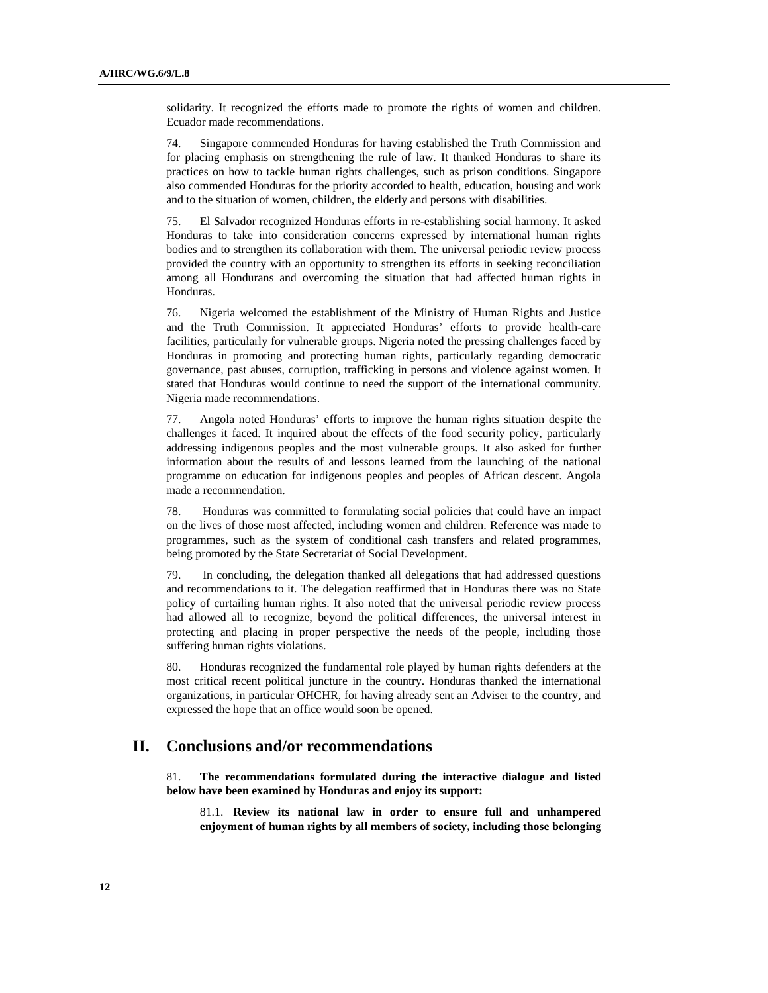solidarity. It recognized the efforts made to promote the rights of women and children. Ecuador made recommendations.

74. Singapore commended Honduras for having established the Truth Commission and for placing emphasis on strengthening the rule of law. It thanked Honduras to share its practices on how to tackle human rights challenges, such as prison conditions. Singapore also commended Honduras for the priority accorded to health, education, housing and work and to the situation of women, children, the elderly and persons with disabilities.

75. El Salvador recognized Honduras efforts in re-establishing social harmony. It asked Honduras to take into consideration concerns expressed by international human rights bodies and to strengthen its collaboration with them. The universal periodic review process provided the country with an opportunity to strengthen its efforts in seeking reconciliation among all Hondurans and overcoming the situation that had affected human rights in Honduras.

76. Nigeria welcomed the establishment of the Ministry of Human Rights and Justice and the Truth Commission. It appreciated Honduras' efforts to provide health-care facilities, particularly for vulnerable groups. Nigeria noted the pressing challenges faced by Honduras in promoting and protecting human rights, particularly regarding democratic governance, past abuses, corruption, trafficking in persons and violence against women. It stated that Honduras would continue to need the support of the international community. Nigeria made recommendations.

77. Angola noted Honduras' efforts to improve the human rights situation despite the challenges it faced. It inquired about the effects of the food security policy, particularly addressing indigenous peoples and the most vulnerable groups. It also asked for further information about the results of and lessons learned from the launching of the national programme on education for indigenous peoples and peoples of African descent. Angola made a recommendation.

78. Honduras was committed to formulating social policies that could have an impact on the lives of those most affected, including women and children. Reference was made to programmes, such as the system of conditional cash transfers and related programmes, being promoted by the State Secretariat of Social Development.

79. In concluding, the delegation thanked all delegations that had addressed questions and recommendations to it. The delegation reaffirmed that in Honduras there was no State policy of curtailing human rights. It also noted that the universal periodic review process had allowed all to recognize, beyond the political differences, the universal interest in protecting and placing in proper perspective the needs of the people, including those suffering human rights violations.

80. Honduras recognized the fundamental role played by human rights defenders at the most critical recent political juncture in the country. Honduras thanked the international organizations, in particular OHCHR, for having already sent an Adviser to the country, and expressed the hope that an office would soon be opened.

## **II. Conclusions and/or recommendations**

81. **The recommendations formulated during the interactive dialogue and listed below have been examined by Honduras and enjoy its support:**

81.1. **Review its national law in order to ensure full and unhampered enjoyment of human rights by all members of society, including those belonging**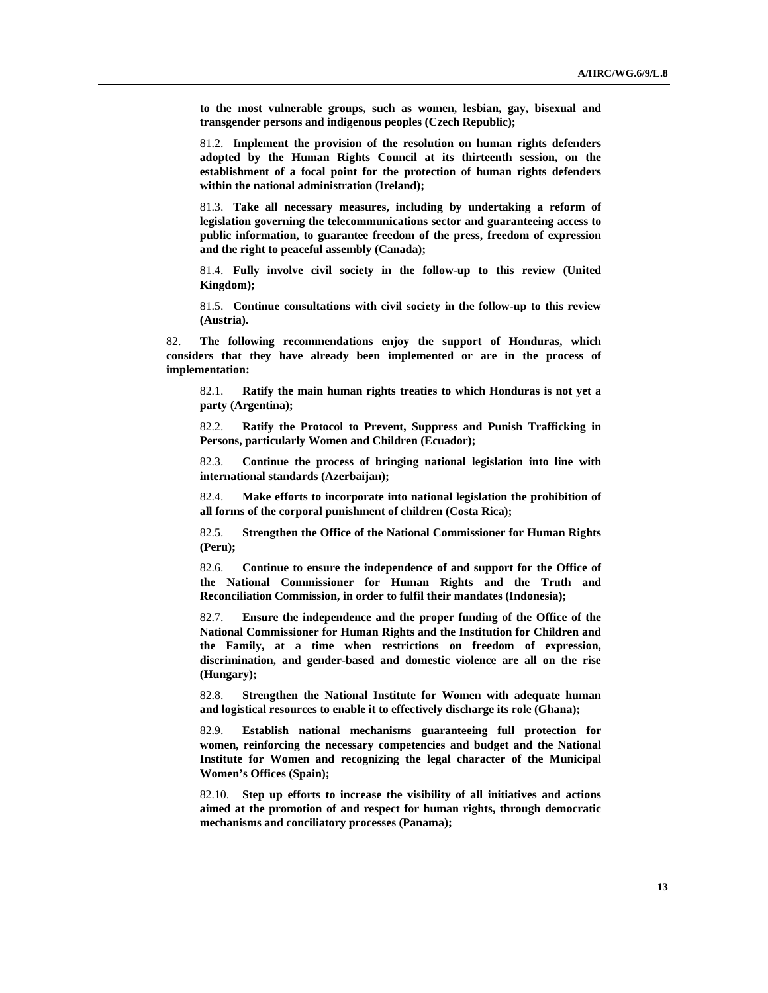**to the most vulnerable groups, such as women, lesbian, gay, bisexual and transgender persons and indigenous peoples (Czech Republic);**

81.2. **Implement the provision of the resolution on human rights defenders adopted by the Human Rights Council at its thirteenth session, on the establishment of a focal point for the protection of human rights defenders within the national administration (Ireland);**

81.3. **Take all necessary measures, including by undertaking a reform of legislation governing the telecommunications sector and guaranteeing access to public information, to guarantee freedom of the press, freedom of expression and the right to peaceful assembly (Canada);**

81.4. **Fully involve civil society in the follow-up to this review (United Kingdom);**

81.5. **Continue consultations with civil society in the follow-up to this review (Austria).**

82. **The following recommendations enjoy the support of Honduras, which considers that they have already been implemented or are in the process of implementation:**

82.1. **Ratify the main human rights treaties to which Honduras is not yet a party (Argentina);**

82.2. **Ratify the Protocol to Prevent, Suppress and Punish Trafficking in Persons, particularly Women and Children (Ecuador);**

82.3. **Continue the process of bringing national legislation into line with international standards (Azerbaijan);**

82.4. **Make efforts to incorporate into national legislation the prohibition of all forms of the corporal punishment of children (Costa Rica);**

82.5. **Strengthen the Office of the National Commissioner for Human Rights (Peru);**

82.6. **Continue to ensure the independence of and support for the Office of the National Commissioner for Human Rights and the Truth and Reconciliation Commission, in order to fulfil their mandates (Indonesia);**

82.7. **Ensure the independence and the proper funding of the Office of the National Commissioner for Human Rights and the Institution for Children and the Family, at a time when restrictions on freedom of expression, discrimination, and gender-based and domestic violence are all on the rise (Hungary);**

82.8. **Strengthen the National Institute for Women with adequate human and logistical resources to enable it to effectively discharge its role (Ghana);**

82.9. **Establish national mechanisms guaranteeing full protection for women, reinforcing the necessary competencies and budget and the National Institute for Women and recognizing the legal character of the Municipal Women's Offices (Spain);**

82.10. **Step up efforts to increase the visibility of all initiatives and actions aimed at the promotion of and respect for human rights, through democratic mechanisms and conciliatory processes (Panama);**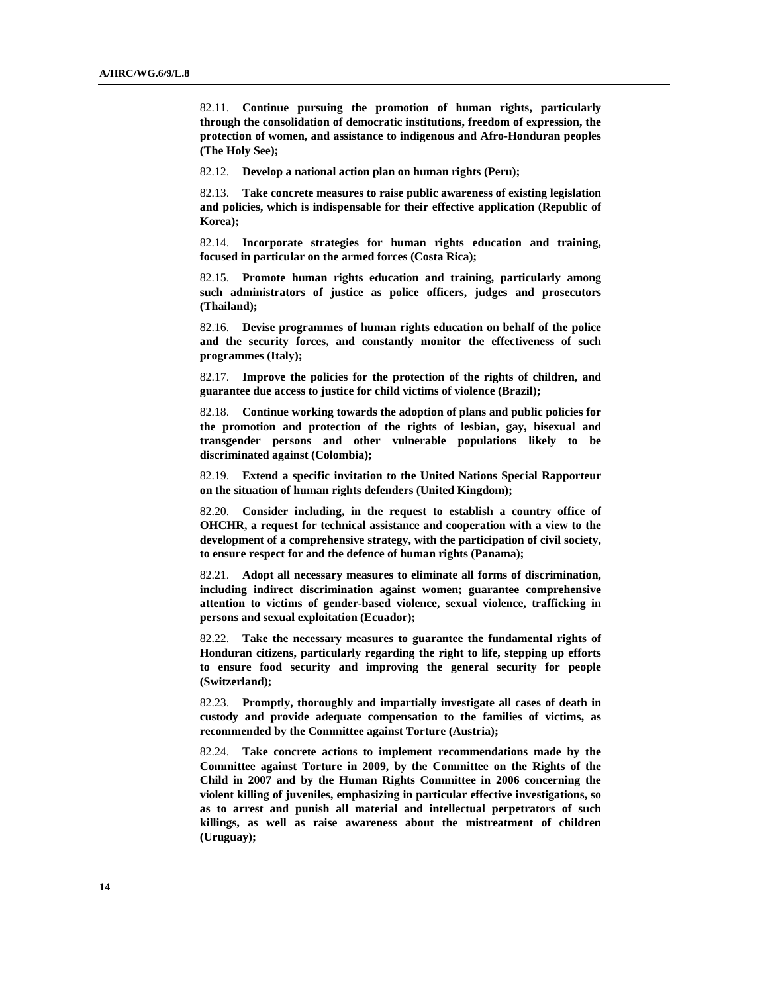82.11. **Continue pursuing the promotion of human rights, particularly through the consolidation of democratic institutions, freedom of expression, the protection of women, and assistance to indigenous and Afro-Honduran peoples (The Holy See);**

82.12. **Develop a national action plan on human rights (Peru);**

82.13. **Take concrete measures to raise public awareness of existing legislation and policies, which is indispensable for their effective application (Republic of Korea);**

82.14. **Incorporate strategies for human rights education and training, focused in particular on the armed forces (Costa Rica);**

82.15. **Promote human rights education and training, particularly among such administrators of justice as police officers, judges and prosecutors (Thailand);**

82.16. **Devise programmes of human rights education on behalf of the police and the security forces, and constantly monitor the effectiveness of such programmes (Italy);**

82.17. **Improve the policies for the protection of the rights of children, and guarantee due access to justice for child victims of violence (Brazil);**

82.18. **Continue working towards the adoption of plans and public policies for the promotion and protection of the rights of lesbian, gay, bisexual and transgender persons and other vulnerable populations likely to be discriminated against (Colombia);**

82.19. **Extend a specific invitation to the United Nations Special Rapporteur on the situation of human rights defenders (United Kingdom);**

82.20. **Consider including, in the request to establish a country office of OHCHR, a request for technical assistance and cooperation with a view to the development of a comprehensive strategy, with the participation of civil society, to ensure respect for and the defence of human rights (Panama);**

82.21. **Adopt all necessary measures to eliminate all forms of discrimination, including indirect discrimination against women; guarantee comprehensive attention to victims of gender-based violence, sexual violence, trafficking in persons and sexual exploitation (Ecuador);**

82.22. **Take the necessary measures to guarantee the fundamental rights of Honduran citizens, particularly regarding the right to life, stepping up efforts to ensure food security and improving the general security for people (Switzerland);**

82.23. **Promptly, thoroughly and impartially investigate all cases of death in custody and provide adequate compensation to the families of victims, as recommended by the Committee against Torture (Austria);**

82.24. **Take concrete actions to implement recommendations made by the Committee against Torture in 2009, by the Committee on the Rights of the Child in 2007 and by the Human Rights Committee in 2006 concerning the violent killing of juveniles, emphasizing in particular effective investigations, so as to arrest and punish all material and intellectual perpetrators of such killings, as well as raise awareness about the mistreatment of children (Uruguay);**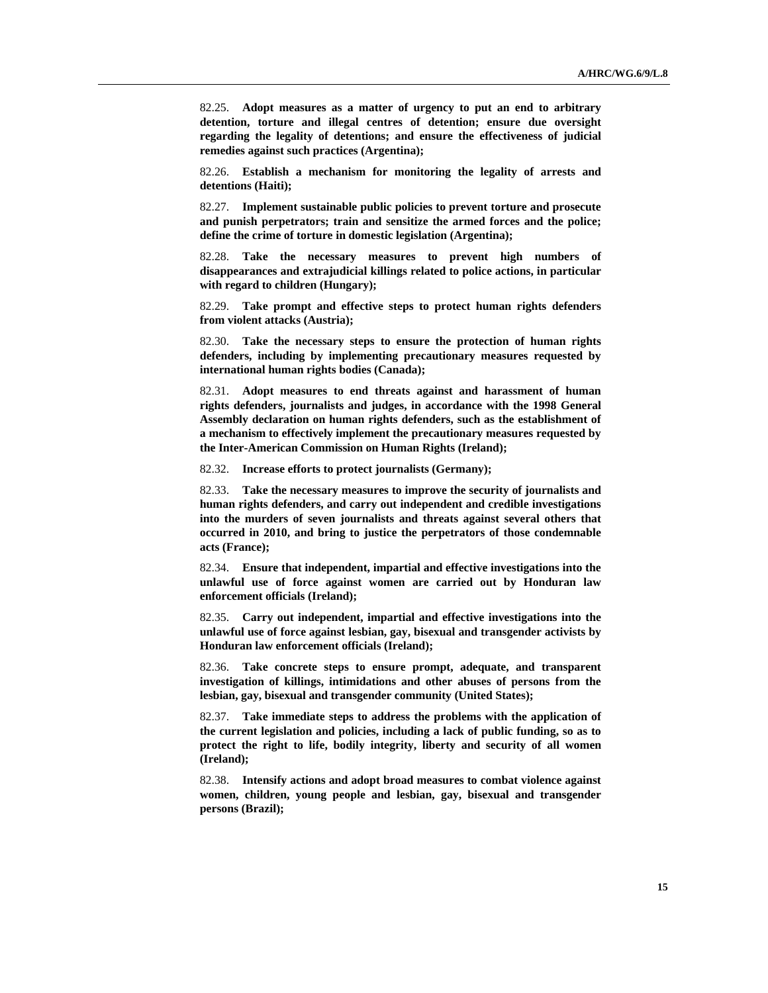82.25. **Adopt measures as a matter of urgency to put an end to arbitrary detention, torture and illegal centres of detention; ensure due oversight regarding the legality of detentions; and ensure the effectiveness of judicial remedies against such practices (Argentina);**

82.26. **Establish a mechanism for monitoring the legality of arrests and detentions (Haiti);**

82.27. **Implement sustainable public policies to prevent torture and prosecute and punish perpetrators; train and sensitize the armed forces and the police; define the crime of torture in domestic legislation (Argentina);**

82.28. **Take the necessary measures to prevent high numbers of disappearances and extrajudicial killings related to police actions, in particular with regard to children (Hungary);**

82.29. **Take prompt and effective steps to protect human rights defenders from violent attacks (Austria);**

82.30. **Take the necessary steps to ensure the protection of human rights defenders, including by implementing precautionary measures requested by international human rights bodies (Canada);**

82.31. **Adopt measures to end threats against and harassment of human rights defenders, journalists and judges, in accordance with the 1998 General Assembly declaration on human rights defenders, such as the establishment of a mechanism to effectively implement the precautionary measures requested by the Inter-American Commission on Human Rights (Ireland);**

82.32. **Increase efforts to protect journalists (Germany);**

82.33. **Take the necessary measures to improve the security of journalists and human rights defenders, and carry out independent and credible investigations into the murders of seven journalists and threats against several others that occurred in 2010, and bring to justice the perpetrators of those condemnable acts (France);**

82.34. **Ensure that independent, impartial and effective investigations into the unlawful use of force against women are carried out by Honduran law enforcement officials (Ireland);**

82.35. **Carry out independent, impartial and effective investigations into the unlawful use of force against lesbian, gay, bisexual and transgender activists by Honduran law enforcement officials (Ireland);**

82.36. **Take concrete steps to ensure prompt, adequate, and transparent investigation of killings, intimidations and other abuses of persons from the lesbian, gay, bisexual and transgender community (United States);**

82.37. **Take immediate steps to address the problems with the application of the current legislation and policies, including a lack of public funding, so as to protect the right to life, bodily integrity, liberty and security of all women (Ireland);**

82.38. **Intensify actions and adopt broad measures to combat violence against women, children, young people and lesbian, gay, bisexual and transgender persons (Brazil);**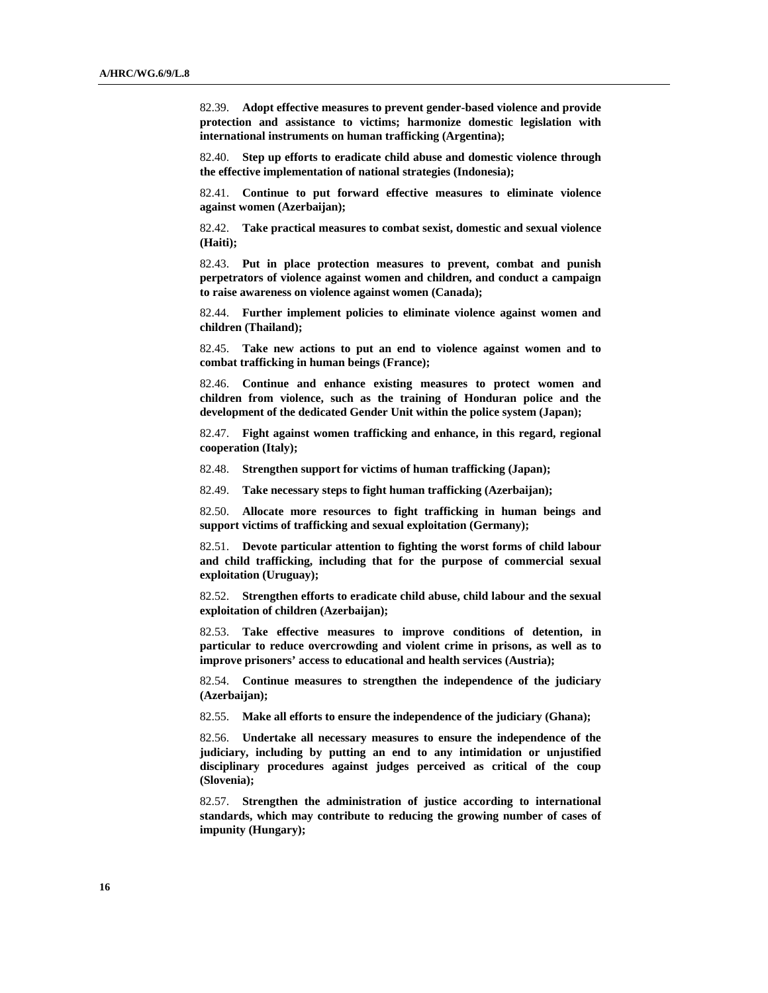82.39. **Adopt effective measures to prevent gender-based violence and provide protection and assistance to victims; harmonize domestic legislation with international instruments on human trafficking (Argentina);**

82.40. **Step up efforts to eradicate child abuse and domestic violence through the effective implementation of national strategies (Indonesia);**

82.41. **Continue to put forward effective measures to eliminate violence against women (Azerbaijan);**

82.42. **Take practical measures to combat sexist, domestic and sexual violence (Haiti);**

82.43. **Put in place protection measures to prevent, combat and punish perpetrators of violence against women and children, and conduct a campaign to raise awareness on violence against women (Canada);**

82.44. **Further implement policies to eliminate violence against women and children (Thailand);**

82.45. **Take new actions to put an end to violence against women and to combat trafficking in human beings (France);**

Continue and enhance existing measures to protect women and **children from violence, such as the training of Honduran police and the development of the dedicated Gender Unit within the police system (Japan);**

82.47. **Fight against women trafficking and enhance, in this regard, regional cooperation (Italy);**

82.48. **Strengthen support for victims of human trafficking (Japan);**

82.49. **Take necessary steps to fight human trafficking (Azerbaijan);**

82.50. **Allocate more resources to fight trafficking in human beings and support victims of trafficking and sexual exploitation (Germany);**

82.51. **Devote particular attention to fighting the worst forms of child labour and child trafficking, including that for the purpose of commercial sexual exploitation (Uruguay);**

82.52. **Strengthen efforts to eradicate child abuse, child labour and the sexual exploitation of children (Azerbaijan);**

82.53. **Take effective measures to improve conditions of detention, in particular to reduce overcrowding and violent crime in prisons, as well as to improve prisoners' access to educational and health services (Austria);**

82.54. **Continue measures to strengthen the independence of the judiciary (Azerbaijan);**

82.55. **Make all efforts to ensure the independence of the judiciary (Ghana);**

82.56. **Undertake all necessary measures to ensure the independence of the judiciary, including by putting an end to any intimidation or unjustified disciplinary procedures against judges perceived as critical of the coup (Slovenia);**

82.57. **Strengthen the administration of justice according to international standards, which may contribute to reducing the growing number of cases of impunity (Hungary);**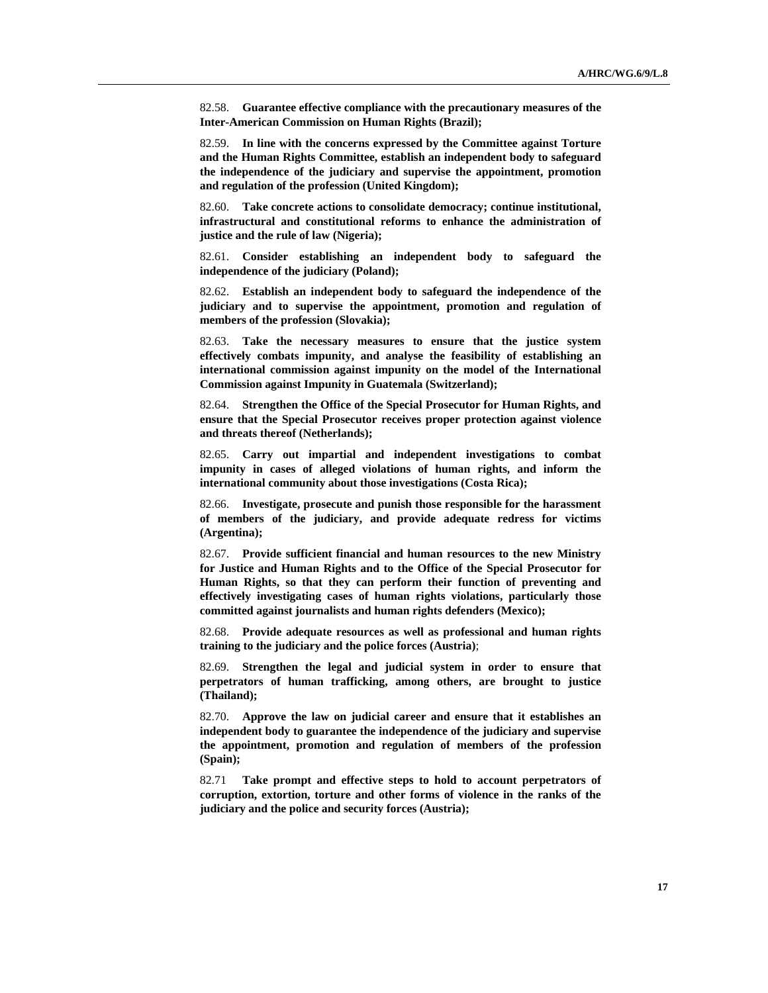82.58. **Guarantee effective compliance with the precautionary measures of the Inter-American Commission on Human Rights (Brazil);**

82.59. **In line with the concerns expressed by the Committee against Torture and the Human Rights Committee, establish an independent body to safeguard the independence of the judiciary and supervise the appointment, promotion and regulation of the profession (United Kingdom);**

82.60. **Take concrete actions to consolidate democracy; continue institutional, infrastructural and constitutional reforms to enhance the administration of justice and the rule of law (Nigeria);**

82.61. **Consider establishing an independent body to safeguard the independence of the judiciary (Poland);**

82.62. **Establish an independent body to safeguard the independence of the judiciary and to supervise the appointment, promotion and regulation of members of the profession (Slovakia);**

82.63. **Take the necessary measures to ensure that the justice system effectively combats impunity, and analyse the feasibility of establishing an international commission against impunity on the model of the International Commission against Impunity in Guatemala (Switzerland);**

82.64. **Strengthen the Office of the Special Prosecutor for Human Rights, and ensure that the Special Prosecutor receives proper protection against violence and threats thereof (Netherlands);**

82.65. **Carry out impartial and independent investigations to combat impunity in cases of alleged violations of human rights, and inform the international community about those investigations (Costa Rica);**

82.66. **Investigate, prosecute and punish those responsible for the harassment of members of the judiciary, and provide adequate redress for victims (Argentina);**

82.67. **Provide sufficient financial and human resources to the new Ministry for Justice and Human Rights and to the Office of the Special Prosecutor for Human Rights, so that they can perform their function of preventing and effectively investigating cases of human rights violations, particularly those committed against journalists and human rights defenders (Mexico);**

82.68. **Provide adequate resources as well as professional and human rights training to the judiciary and the police forces (Austria)**;

82.69. **Strengthen the legal and judicial system in order to ensure that perpetrators of human trafficking, among others, are brought to justice (Thailand);**

82.70. **Approve the law on judicial career and ensure that it establishes an independent body to guarantee the independence of the judiciary and supervise the appointment, promotion and regulation of members of the profession (Spain);**

82.71 **Take prompt and effective steps to hold to account perpetrators of corruption, extortion, torture and other forms of violence in the ranks of the judiciary and the police and security forces (Austria);**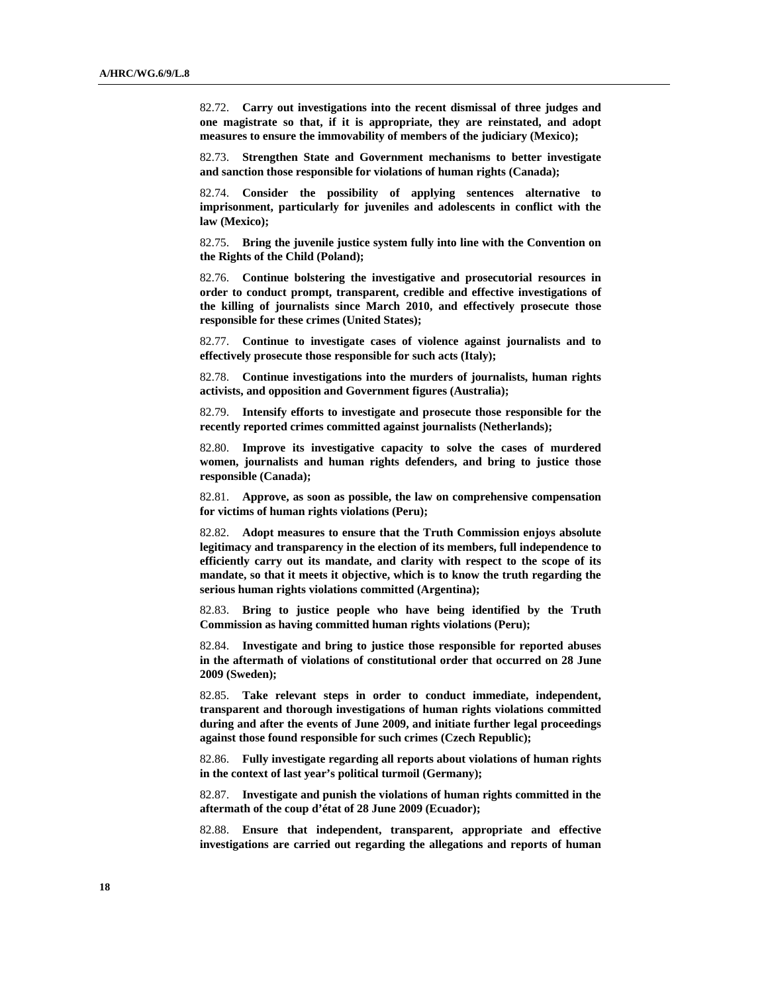82.72. **Carry out investigations into the recent dismissal of three judges and one magistrate so that, if it is appropriate, they are reinstated, and adopt measures to ensure the immovability of members of the judiciary (Mexico);**

82.73. **Strengthen State and Government mechanisms to better investigate and sanction those responsible for violations of human rights (Canada);**

82.74. **Consider the possibility of applying sentences alternative to imprisonment, particularly for juveniles and adolescents in conflict with the law (Mexico);**

82.75. **Bring the juvenile justice system fully into line with the Convention on the Rights of the Child (Poland);**

82.76. **Continue bolstering the investigative and prosecutorial resources in order to conduct prompt, transparent, credible and effective investigations of the killing of journalists since March 2010, and effectively prosecute those responsible for these crimes (United States);**

82.77. **Continue to investigate cases of violence against journalists and to effectively prosecute those responsible for such acts (Italy);**

82.78. **Continue investigations into the murders of journalists, human rights activists, and opposition and Government figures (Australia);**

82.79. **Intensify efforts to investigate and prosecute those responsible for the recently reported crimes committed against journalists (Netherlands);**

82.80. **Improve its investigative capacity to solve the cases of murdered women, journalists and human rights defenders, and bring to justice those responsible (Canada);**

82.81. **Approve, as soon as possible, the law on comprehensive compensation for victims of human rights violations (Peru);**

82.82. **Adopt measures to ensure that the Truth Commission enjoys absolute legitimacy and transparency in the election of its members, full independence to efficiently carry out its mandate, and clarity with respect to the scope of its mandate, so that it meets it objective, which is to know the truth regarding the serious human rights violations committed (Argentina);**

82.83. **Bring to justice people who have being identified by the Truth Commission as having committed human rights violations (Peru);**

82.84. **Investigate and bring to justice those responsible for reported abuses in the aftermath of violations of constitutional order that occurred on 28 June 2009 (Sweden);**

82.85. **Take relevant steps in order to conduct immediate, independent, transparent and thorough investigations of human rights violations committed during and after the events of June 2009, and initiate further legal proceedings against those found responsible for such crimes (Czech Republic);**

82.86. **Fully investigate regarding all reports about violations of human rights in the context of last year's political turmoil (Germany);**

82.87. **Investigate and punish the violations of human rights committed in the aftermath of the coup d'état of 28 June 2009 (Ecuador);**

82.88. **Ensure that independent, transparent, appropriate and effective investigations are carried out regarding the allegations and reports of human**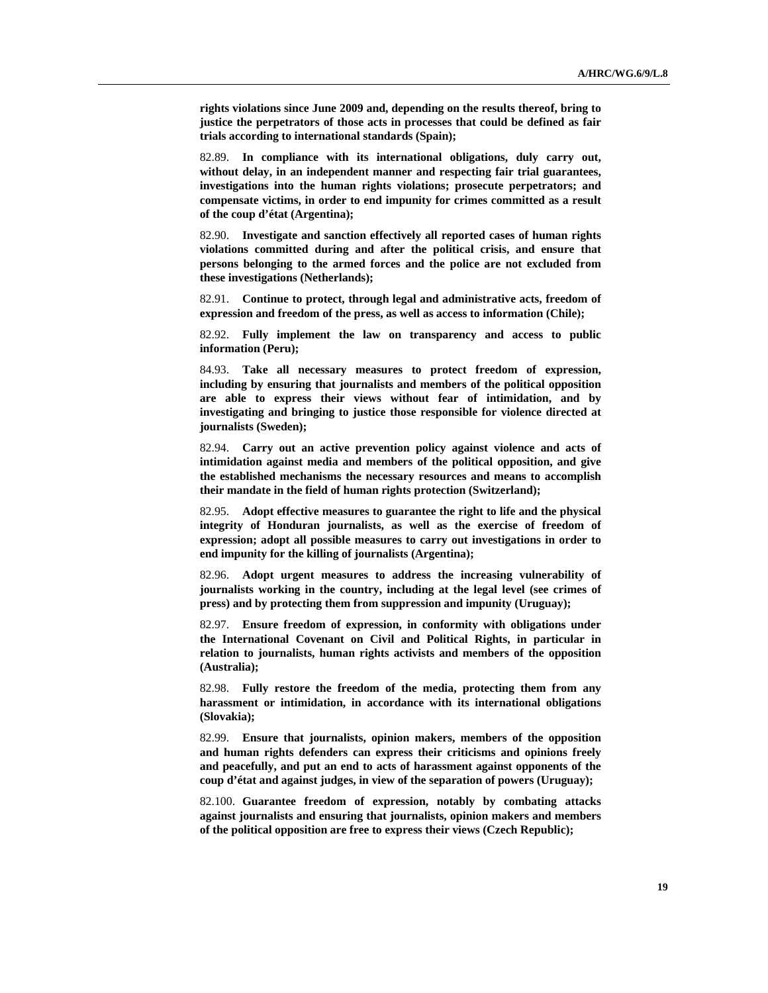**rights violations since June 2009 and, depending on the results thereof, bring to justice the perpetrators of those acts in processes that could be defined as fair trials according to international standards (Spain);**

82.89. **In compliance with its international obligations, duly carry out, without delay, in an independent manner and respecting fair trial guarantees, investigations into the human rights violations; prosecute perpetrators; and compensate victims, in order to end impunity for crimes committed as a result of the coup d'état (Argentina);**

82.90. **Investigate and sanction effectively all reported cases of human rights violations committed during and after the political crisis, and ensure that persons belonging to the armed forces and the police are not excluded from these investigations (Netherlands);**

82.91. **Continue to protect, through legal and administrative acts, freedom of expression and freedom of the press, as well as access to information (Chile);**

82.92. **Fully implement the law on transparency and access to public information (Peru);**

84.93. **Take all necessary measures to protect freedom of expression, including by ensuring that journalists and members of the political opposition are able to express their views without fear of intimidation, and by investigating and bringing to justice those responsible for violence directed at journalists (Sweden);**

82.94. **Carry out an active prevention policy against violence and acts of intimidation against media and members of the political opposition, and give the established mechanisms the necessary resources and means to accomplish their mandate in the field of human rights protection (Switzerland);**

82.95. **Adopt effective measures to guarantee the right to life and the physical integrity of Honduran journalists, as well as the exercise of freedom of expression; adopt all possible measures to carry out investigations in order to end impunity for the killing of journalists (Argentina);**

82.96. **Adopt urgent measures to address the increasing vulnerability of journalists working in the country, including at the legal level (see crimes of press) and by protecting them from suppression and impunity (Uruguay);**

82.97. **Ensure freedom of expression, in conformity with obligations under the International Covenant on Civil and Political Rights, in particular in relation to journalists, human rights activists and members of the opposition (Australia);**

82.98. **Fully restore the freedom of the media, protecting them from any harassment or intimidation, in accordance with its international obligations (Slovakia);**

82.99. **Ensure that journalists, opinion makers, members of the opposition and human rights defenders can express their criticisms and opinions freely and peacefully, and put an end to acts of harassment against opponents of the coup d'état and against judges, in view of the separation of powers (Uruguay);**

82.100. **Guarantee freedom of expression, notably by combating attacks against journalists and ensuring that journalists, opinion makers and members of the political opposition are free to express their views (Czech Republic);**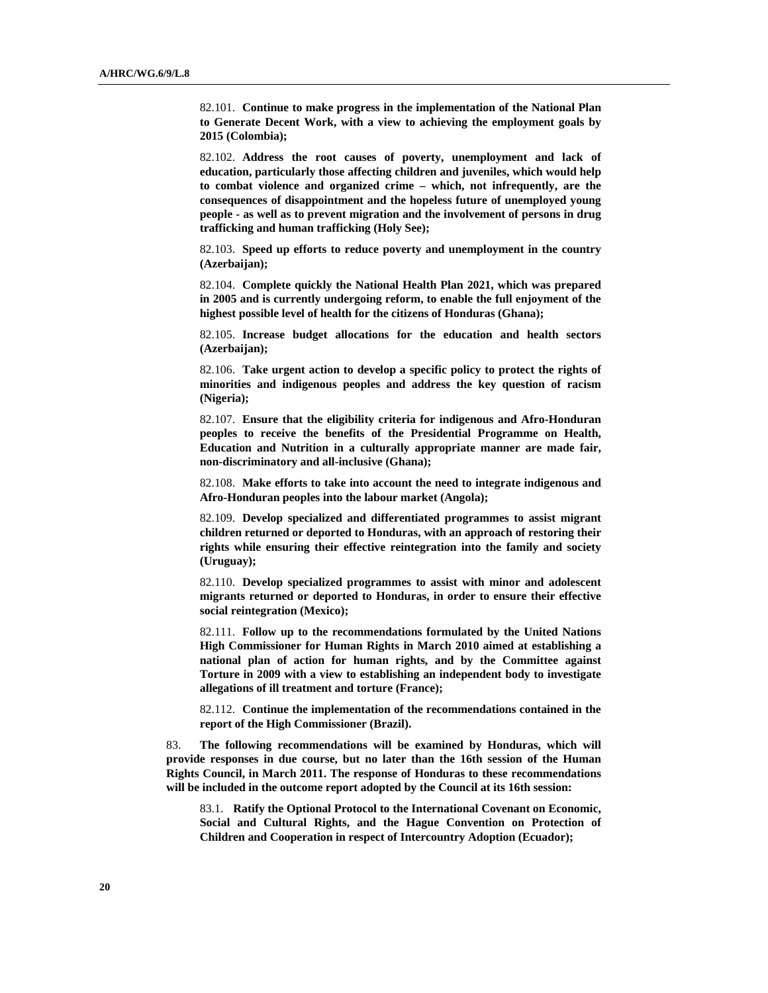82.101. **Continue to make progress in the implementation of the National Plan to Generate Decent Work, with a view to achieving the employment goals by 2015 (Colombia);**

82.102. **Address the root causes of poverty, unemployment and lack of education, particularly those affecting children and juveniles, which would help to combat violence and organized crime – which, not infrequently, are the consequences of disappointment and the hopeless future of unemployed young people - as well as to prevent migration and the involvement of persons in drug trafficking and human trafficking (Holy See);**

82.103. **Speed up efforts to reduce poverty and unemployment in the country (Azerbaijan);**

82.104. **Complete quickly the National Health Plan 2021, which was prepared in 2005 and is currently undergoing reform, to enable the full enjoyment of the highest possible level of health for the citizens of Honduras (Ghana);**

82.105. **Increase budget allocations for the education and health sectors (Azerbaijan);**

82.106. **Take urgent action to develop a specific policy to protect the rights of minorities and indigenous peoples and address the key question of racism (Nigeria);**

82.107. **Ensure that the eligibility criteria for indigenous and Afro-Honduran peoples to receive the benefits of the Presidential Programme on Health, Education and Nutrition in a culturally appropriate manner are made fair, non-discriminatory and all-inclusive (Ghana);**

82.108. **Make efforts to take into account the need to integrate indigenous and Afro-Honduran peoples into the labour market (Angola);**

82.109. **Develop specialized and differentiated programmes to assist migrant children returned or deported to Honduras, with an approach of restoring their rights while ensuring their effective reintegration into the family and society (Uruguay);**

82.110. **Develop specialized programmes to assist with minor and adolescent migrants returned or deported to Honduras, in order to ensure their effective social reintegration (Mexico);**

82.111. **Follow up to the recommendations formulated by the United Nations High Commissioner for Human Rights in March 2010 aimed at establishing a national plan of action for human rights, and by the Committee against Torture in 2009 with a view to establishing an independent body to investigate allegations of ill treatment and torture (France);**

82.112. **Continue the implementation of the recommendations contained in the report of the High Commissioner (Brazil).**

83. **The following recommendations will be examined by Honduras, which will provide responses in due course, but no later than the 16th session of the Human Rights Council, in March 2011. The response of Honduras to these recommendations will be included in the outcome report adopted by the Council at its 16th session:**

83.1. **Ratify the Optional Protocol to the International Covenant on Economic, Social and Cultural Rights, and the Hague Convention on Protection of Children and Cooperation in respect of Intercountry Adoption (Ecuador);**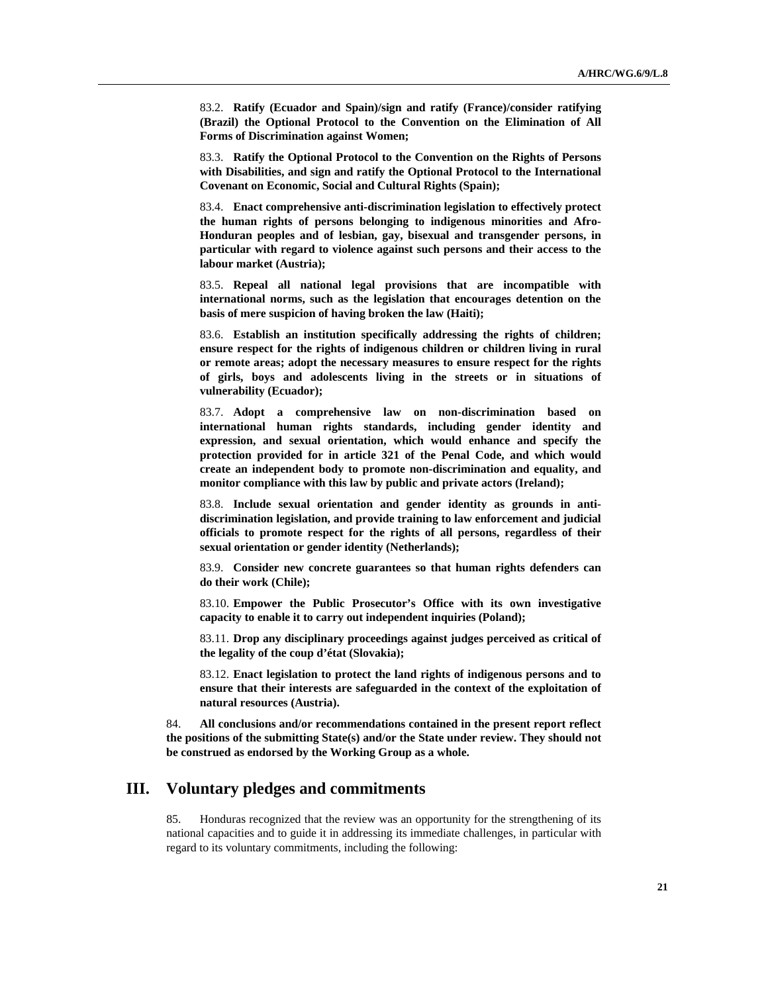83.2. **Ratify (Ecuador and Spain)/sign and ratify (France)/consider ratifying (Brazil) the Optional Protocol to the Convention on the Elimination of All Forms of Discrimination against Women;**

83.3. **Ratify the Optional Protocol to the Convention on the Rights of Persons with Disabilities, and sign and ratify the Optional Protocol to the International Covenant on Economic, Social and Cultural Rights (Spain);**

83.4. **Enact comprehensive anti-discrimination legislation to effectively protect the human rights of persons belonging to indigenous minorities and Afro-Honduran peoples and of lesbian, gay, bisexual and transgender persons, in particular with regard to violence against such persons and their access to the labour market (Austria);**

83.5. **Repeal all national legal provisions that are incompatible with international norms, such as the legislation that encourages detention on the basis of mere suspicion of having broken the law (Haiti);**

83.6. **Establish an institution specifically addressing the rights of children; ensure respect for the rights of indigenous children or children living in rural or remote areas; adopt the necessary measures to ensure respect for the rights of girls, boys and adolescents living in the streets or in situations of vulnerability (Ecuador);**

83.7. **Adopt a comprehensive law on non-discrimination based on international human rights standards, including gender identity and expression, and sexual orientation, which would enhance and specify the protection provided for in article 321 of the Penal Code, and which would create an independent body to promote non-discrimination and equality, and monitor compliance with this law by public and private actors (Ireland);**

83.8. **Include sexual orientation and gender identity as grounds in antidiscrimination legislation, and provide training to law enforcement and judicial officials to promote respect for the rights of all persons, regardless of their sexual orientation or gender identity (Netherlands);**

83.9. **Consider new concrete guarantees so that human rights defenders can do their work (Chile);**

83.10. **Empower the Public Prosecutor's Office with its own investigative capacity to enable it to carry out independent inquiries (Poland);**

83.11. **Drop any disciplinary proceedings against judges perceived as critical of the legality of the coup d'état (Slovakia);**

83.12. **Enact legislation to protect the land rights of indigenous persons and to ensure that their interests are safeguarded in the context of the exploitation of natural resources (Austria).**

84. **All conclusions and/or recommendations contained in the present report reflect the positions of the submitting State(s) and/or the State under review. They should not be construed as endorsed by the Working Group as a whole.**

## **III. Voluntary pledges and commitments**

85. Honduras recognized that the review was an opportunity for the strengthening of its national capacities and to guide it in addressing its immediate challenges, in particular with regard to its voluntary commitments, including the following: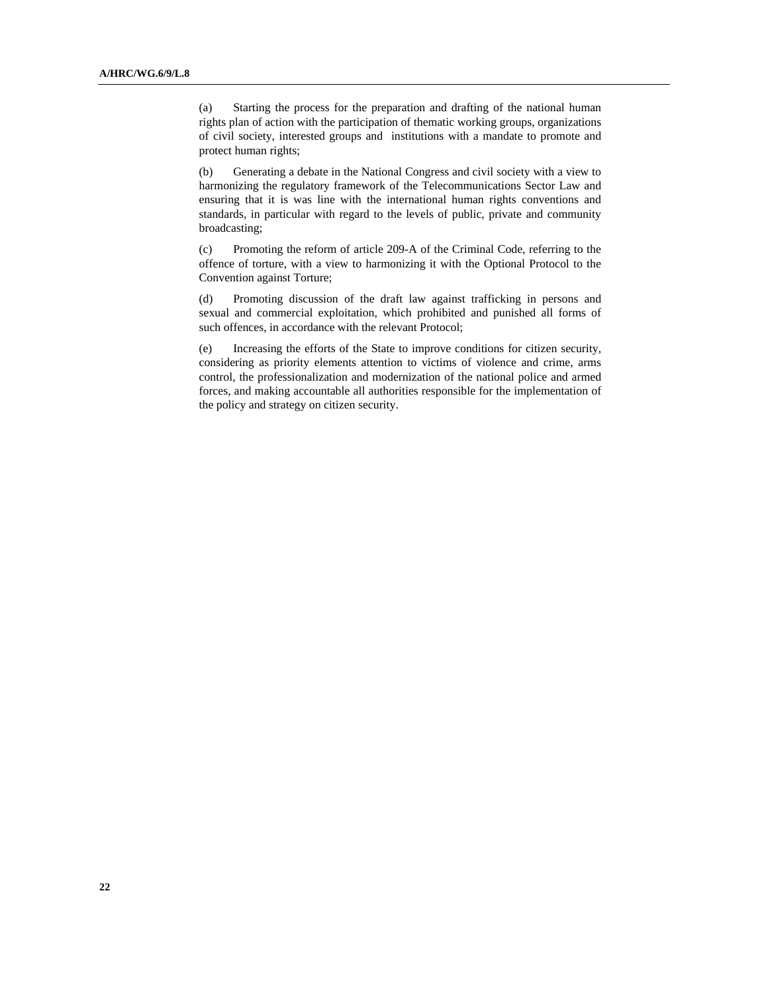(a) Starting the process for the preparation and drafting of the national human rights plan of action with the participation of thematic working groups, organizations of civil society, interested groups and institutions with a mandate to promote and protect human rights;

(b) Generating a debate in the National Congress and civil society with a view to harmonizing the regulatory framework of the Telecommunications Sector Law and ensuring that it is was line with the international human rights conventions and standards, in particular with regard to the levels of public, private and community broadcasting;

(c) Promoting the reform of article 209-A of the Criminal Code, referring to the offence of torture, with a view to harmonizing it with the Optional Protocol to the Convention against Torture;

(d) Promoting discussion of the draft law against trafficking in persons and sexual and commercial exploitation, which prohibited and punished all forms of such offences, in accordance with the relevant Protocol;

(e) Increasing the efforts of the State to improve conditions for citizen security, considering as priority elements attention to victims of violence and crime, arms control, the professionalization and modernization of the national police and armed forces, and making accountable all authorities responsible for the implementation of the policy and strategy on citizen security.